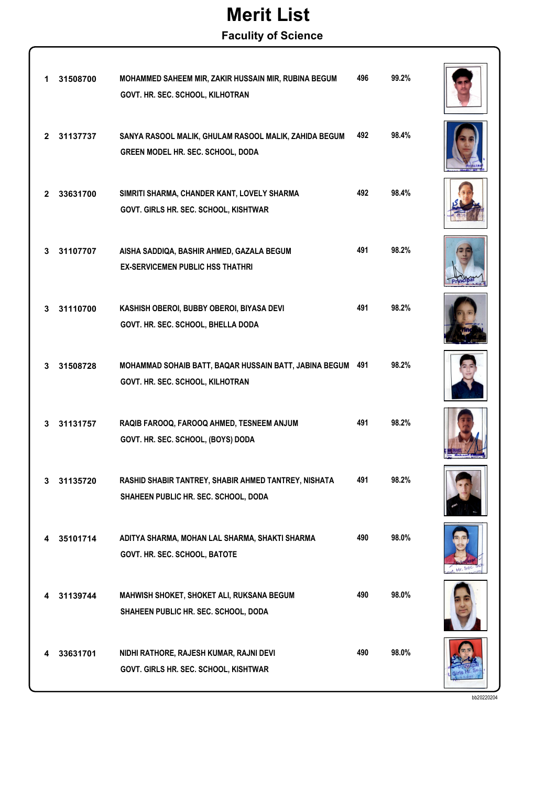### Merit List

Faculity of Science

| 1            | 31508700 | MOHAMMED SAHEEM MIR, ZAKIR HUSSAIN MIR, RUBINA BEGUM<br>GOVT. HR. SEC. SCHOOL, KILHOTRAN     | 496 | 99.2% |  |
|--------------|----------|----------------------------------------------------------------------------------------------|-----|-------|--|
| $\mathbf{2}$ | 31137737 | SANYA RASOOL MALIK, GHULAM RASOOL MALIK, ZAHIDA BEGUM<br>GREEN MODEL HR. SEC. SCHOOL, DODA   | 492 | 98.4% |  |
| 2            | 33631700 | SIMRITI SHARMA, CHANDER KANT, LOVELY SHARMA<br>GOVT. GIRLS HR. SEC. SCHOOL, KISHTWAR         | 492 | 98.4% |  |
| 3.           | 31107707 | AISHA SADDIQA, BASHIR AHMED, GAZALA BEGUM<br><b>EX-SERVICEMEN PUBLIC HSS THATHRI</b>         | 491 | 98.2% |  |
| 3            | 31110700 | KASHISH OBEROI, BUBBY OBEROI, BIYASA DEVI<br>GOVT. HR. SEC. SCHOOL, BHELLA DODA              | 491 | 98.2% |  |
| 3            | 31508728 | MOHAMMAD SOHAIB BATT, BAQAR HUSSAIN BATT, JABINA BEGUM<br>GOVT. HR. SEC. SCHOOL, KILHOTRAN   | 491 | 98.2% |  |
| 3            | 31131757 | RAQIB FAROOQ, FAROOQ AHMED, TESNEEM ANJUM<br>GOVT. HR. SEC. SCHOOL, (BOYS) DODA              | 491 | 98.2% |  |
|              | 31135720 | RASHID SHABIR TANTREY, SHABIR AHMED TANTREY, NISHATA<br>SHAHEEN PUBLIC HR. SEC. SCHOOL, DODA | 491 | 98.2% |  |
| 4            | 35101714 | ADITYA SHARMA, MOHAN LAL SHARMA, SHAKTI SHARMA<br>GOVT. HR. SEC. SCHOOL, BATOTE              | 490 | 98.0% |  |
| 4            | 31139744 | MAHWISH SHOKET, SHOKET ALI, RUKSANA BEGUM<br>SHAHEEN PUBLIC HR. SEC. SCHOOL, DODA            | 490 | 98.0% |  |
|              | 33631701 | NIDHI RATHORE, RAJESH KUMAR, RAJNI DEVI<br>GOVT. GIRLS HR. SEC. SCHOOL, KISHTWAR             | 490 | 98.0% |  |

bb20220204

 $Hr.56$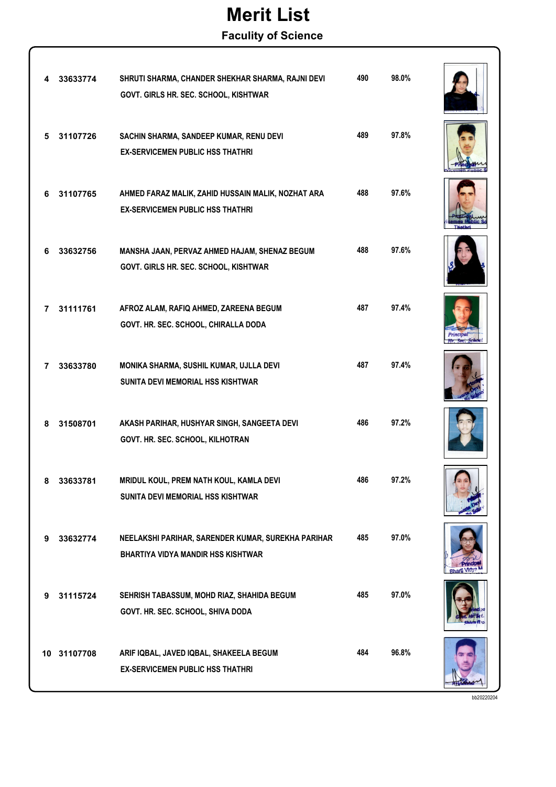## Merit List

#### Faculity of Science

|   | 33633774    | SHRUTI SHARMA, CHANDER SHEKHAR SHARMA, RAJNI DEVI<br>GOVT. GIRLS HR. SEC. SCHOOL, KISHTWAR      | 490 | 98.0% |  |
|---|-------------|-------------------------------------------------------------------------------------------------|-----|-------|--|
| 5 | 31107726    | SACHIN SHARMA, SANDEEP KUMAR, RENU DEVI<br><b>EX-SERVICEMEN PUBLIC HSS THATHRI</b>              | 489 | 97.8% |  |
| 6 | 31107765    | AHMED FARAZ MALIK, ZAHID HUSSAIN MALIK, NOZHAT ARA<br><b>EX-SERVICEMEN PUBLIC HSS THATHRI</b>   | 488 | 97.6% |  |
| 6 | 33632756    | MANSHA JAAN, PERVAZ AHMED HAJAM, SHENAZ BEGUM<br>GOVT. GIRLS HR. SEC. SCHOOL, KISHTWAR          | 488 | 97.6% |  |
| 7 | 31111761    | AFROZ ALAM, RAFIQ AHMED, ZAREENA BEGUM<br>GOVT. HR. SEC. SCHOOL, CHIRALLA DODA                  | 487 | 97.4% |  |
| 7 | 33633780    | MONIKA SHARMA, SUSHIL KUMAR, UJLLA DEVI<br><b>SUNITA DEVI MEMORIAL HSS KISHTWAR</b>             | 487 | 97.4% |  |
| 8 | 31508701    | AKASH PARIHAR, HUSHYAR SINGH, SANGEETA DEVI<br>GOVT. HR. SEC. SCHOOL, KILHOTRAN                 | 486 | 97.2% |  |
|   | 33033701    | MRIDUL KOUL, PREM NATH KOUL, KAMLA DEVI<br><b>SUNITA DEVI MEMORIAL HSS KISHTWAR</b>             | 486 | 97.2% |  |
| 9 | 33632774    | NEELAKSHI PARIHAR, SARENDER KUMAR, SUREKHA PARIHAR<br><b>BHARTIYA VIDYA MANDIR HSS KISHTWAR</b> | 485 | 97.0% |  |
| 9 | 31115724    | SEHRISH TABASSUM, MOHD RIAZ, SHAHIDA BEGUM<br>GOVT. HR. SEC. SCHOOL, SHIVA DODA                 | 485 | 97.0% |  |
|   | 10 31107708 | ARIF IQBAL, JAVED IQBAL, SHAKEELA BEGUM<br><b>EX-SERVICEMEN PUBLIC HSS THATHRI</b>              | 484 | 96.8% |  |

bb20220204